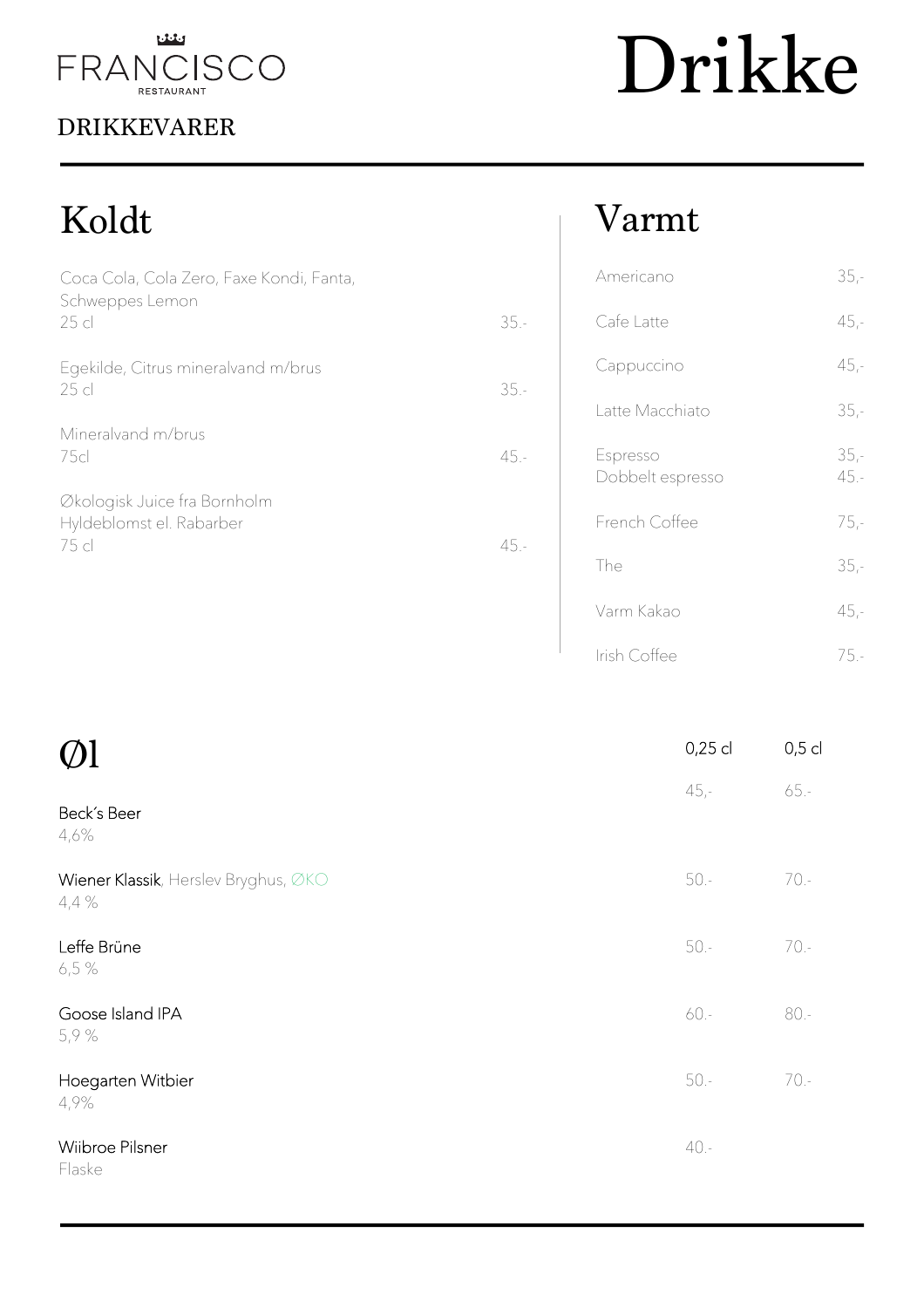

## DRIKKEVARER

# Drikke

## Koldt

| Coca Cola, Cola Zero, Faxe Kondi, Fanta,<br>Schweppes Lemon<br>25 <sub>cl</sub> | $35 -$ |  |
|---------------------------------------------------------------------------------|--------|--|
| Egekilde, Citrus mineralvand m/brus<br>25 cl                                    | $35 -$ |  |
| Mineralvand m/brus<br>75cl                                                      | $45 -$ |  |
| Økologisk Juice fra Bornholm<br>Hyldeblomst el. Rabarber<br>75 cl               | $45 -$ |  |

## Varmt

| Americano                    | $35 -$         |
|------------------------------|----------------|
| Cafe Latte                   | $45,-$         |
| Cappuccino                   | $45,-$         |
| Latte Macchiato              | $35 -$         |
| Espresso<br>Dobbelt espresso | $35 -$<br>45.- |
| French Coffee                | $75 -$         |
| The                          | $35 -$         |
| Varm Kakao                   | $45 -$         |
| Irish Coffee                 | 75 -           |

| $\emptyset$ l                                 | 0,25 cl | $0,5$ cl |
|-----------------------------------------------|---------|----------|
| Beck's Beer<br>4,6%                           | $45 -$  | $65. -$  |
| Wiener Klassik, Herslev Bryghus, ØKO<br>4,4 % | $50 -$  | $70 -$   |
| Leffe Brüne<br>6,5 %                          | $50 -$  | $70. -$  |
| Goose Island IPA<br>5,9 %                     | 60.-    | $80 -$   |
| Hoegarten Witbier<br>4,9%                     | $50 -$  | $70 -$   |
| Wiibroe Pilsner<br>Flaske                     | $40. -$ |          |